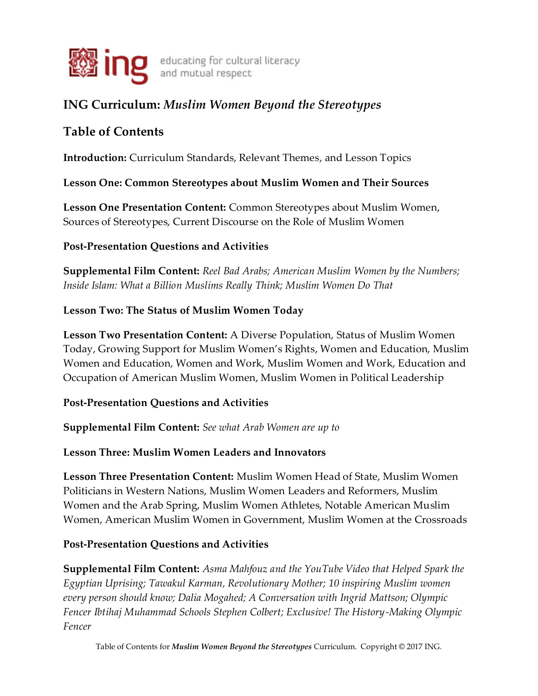

# **ING Curriculum:** *Muslim Women Beyond the Stereotypes*

# **Table of Contents**

**Introduction:** Curriculum Standards, Relevant Themes, and Lesson Topics

## **Lesson One: Common Stereotypes about Muslim Women and Their Sources**

**Lesson One Presentation Content:** Common Stereotypes about Muslim Women, Sources of Stereotypes, Current Discourse on the Role of Muslim Women

## **Post-Presentation Questions and Activities**

**Supplemental Film Content:** *Reel Bad Arabs; American Muslim Women by the Numbers; Inside Islam: What a Billion Muslims Really Think; Muslim Women Do That*

## **Lesson Two: The Status of Muslim Women Today**

**Lesson Two Presentation Content:** A Diverse Population, Status of Muslim Women Today, Growing Support for Muslim Women's Rights, Women and Education, Muslim Women and Education, Women and Work, Muslim Women and Work, Education and Occupation of American Muslim Women, Muslim Women in Political Leadership

### **Post-Presentation Questions and Activities**

**Supplemental Film Content:** *See what Arab Women are up to* 

## **Lesson Three: Muslim Women Leaders and Innovators**

**Lesson Three Presentation Content:** Muslim Women Head of State, Muslim Women Politicians in Western Nations, Muslim Women Leaders and Reformers, Muslim Women and the Arab Spring, Muslim Women Athletes, Notable American Muslim Women, American Muslim Women in Government, Muslim Women at the Crossroads

## **Post-Presentation Questions and Activities**

**Supplemental Film Content:** *Asma Mahfouz and the YouTube Video that Helped Spark the Egyptian Uprising; Tawakul Karman, Revolutionary Mother; 10 inspiring Muslim women every person should know; Dalia Mogahed; A Conversation with Ingrid Mattson; Olympic Fencer Ibtihaj Muhammad Schools Stephen Colbert; Exclusive! The History-Making Olympic Fencer* 

Table of Contents for *Muslim Women Beyond the Stereotypes* Curriculum. Copyright © 2017 ING.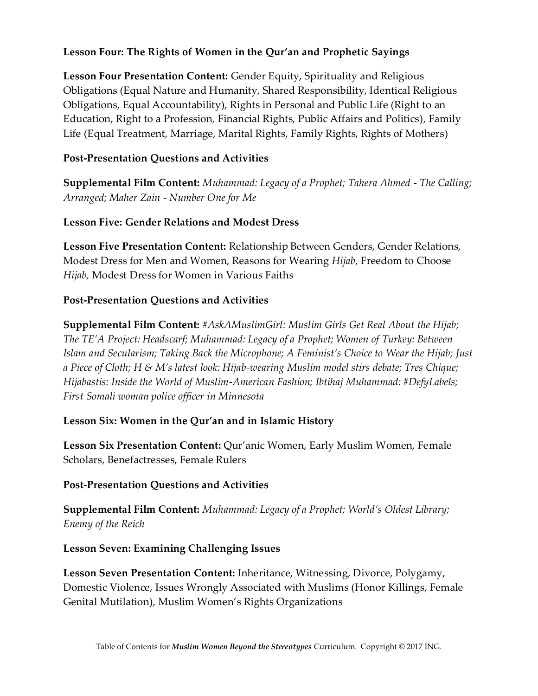### **Lesson Four: The Rights of Women in the Qur'an and Prophetic Sayings**

**Lesson Four Presentation Content:** Gender Equity, Spirituality and Religious Obligations (Equal Nature and Humanity, Shared Responsibility, Identical Religious Obligations, Equal Accountability), Rights in Personal and Public Life (Right to an Education, Right to a Profession, Financial Rights, Public Affairs and Politics), Family Life (Equal Treatment, Marriage, Marital Rights, Family Rights, Rights of Mothers)

## **Post-Presentation Questions and Activities**

**Supplemental Film Content:** *Muhammad: Legacy of a Prophet; Tahera Ahmed - The Calling; Arranged; Maher Zain - Number One for Me* 

## **Lesson Five: Gender Relations and Modest Dress**

**Lesson Five Presentation Content:** Relationship Between Genders, Gender Relations, Modest Dress for Men and Women, Reasons for Wearing *Hijab,* Freedom to Choose *Hijab,* Modest Dress for Women in Various Faiths

## **Post-Presentation Questions and Activities**

**Supplemental Film Content:** *#AskAMuslimGirl: Muslim Girls Get Real About the Hijab; The TE'A Project: Headscarf; Muhammad: Legacy of a Prophet; Women of Turkey: Between Islam and Secularism; Taking Back the Microphone; A Feminist's Choice to Wear the Hijab; Just a Piece of Cloth; H & M's latest look: Hijab-wearing Muslim model stirs debate; Tres Chique; Hijabastis: Inside the World of Muslim-American Fashion; Ibtihaj Muhammad: #DefyLabels; First Somali woman police officer in Minnesota* 

### **Lesson Six: Women in the Qur'an and in Islamic History**

**Lesson Six Presentation Content:** Qur'anic Women, Early Muslim Women, Female Scholars, Benefactresses, Female Rulers

### **Post-Presentation Questions and Activities**

**Supplemental Film Content:** *Muhammad: Legacy of a Prophet; World's Oldest Library; Enemy of the Reich* 

**Lesson Seven: Examining Challenging Issues** 

**Lesson Seven Presentation Content:** Inheritance, Witnessing, Divorce, Polygamy, Domestic Violence, Issues Wrongly Associated with Muslims (Honor Killings, Female Genital Mutilation), Muslim Women's Rights Organizations